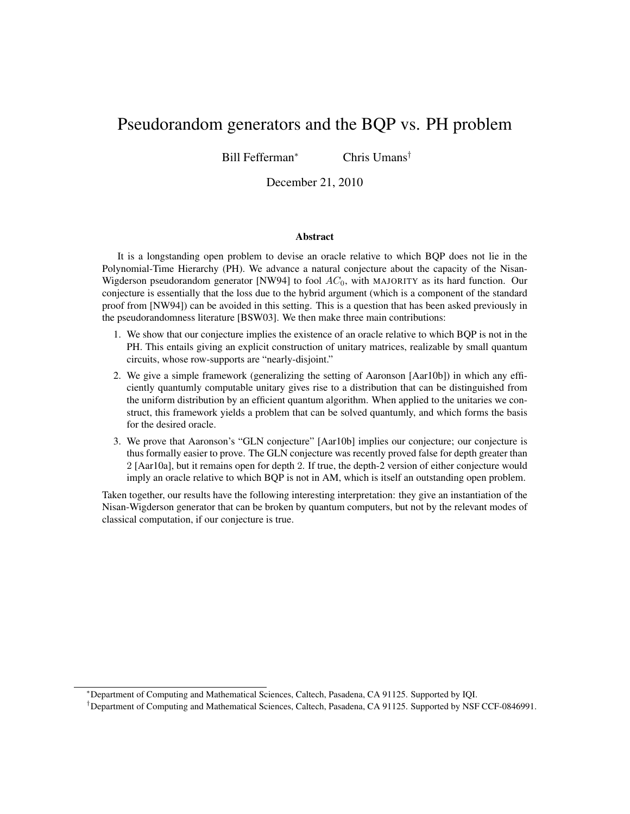# Pseudorandom generators and the BQP vs. PH problem

Bill Fefferman*<sup>∗</sup>* Chris Umans*†*

December 21, 2010

#### Abstract

It is a longstanding open problem to devise an oracle relative to which BQP does not lie in the Polynomial-Time Hierarchy (PH). We advance a natural conjecture about the capacity of the Nisan-Wigderson pseudorandom generator [NW94] to fool *AC*0, with MAJORITY as its hard function. Our conjecture is essentially that the loss due to the hybrid argument (which is a component of the standard proof from [NW94]) can be avoided in this setting. This is a question that has been asked previously in the pseudorandomness literature [BSW03]. We then make three main contributions:

- 1. We show that our conjecture implies the existence of an oracle relative to which BQP is not in the PH. This entails giving an explicit construction of unitary matrices, realizable by small quantum circuits, whose row-supports are "nearly-disjoint."
- 2. We give a simple framework (generalizing the setting of Aaronson [Aar10b]) in which any efficiently quantumly computable unitary gives rise to a distribution that can be distinguished from the uniform distribution by an efficient quantum algorithm. When applied to the unitaries we construct, this framework yields a problem that can be solved quantumly, and which forms the basis for the desired oracle.
- 3. We prove that Aaronson's "GLN conjecture" [Aar10b] implies our conjecture; our conjecture is thus formally easier to prove. The GLN conjecture was recently proved false for depth greater than 2 [Aar10a], but it remains open for depth 2. If true, the depth-2 version of either conjecture would imply an oracle relative to which BQP is not in AM, which is itself an outstanding open problem.

Taken together, our results have the following interesting interpretation: they give an instantiation of the Nisan-Wigderson generator that can be broken by quantum computers, but not by the relevant modes of classical computation, if our conjecture is true.

*<sup>∗</sup>*Department of Computing and Mathematical Sciences, Caltech, Pasadena, CA 91125. Supported by IQI.

*<sup>†</sup>*Department of Computing and Mathematical Sciences, Caltech, Pasadena, CA 91125. Supported by NSF CCF-0846991.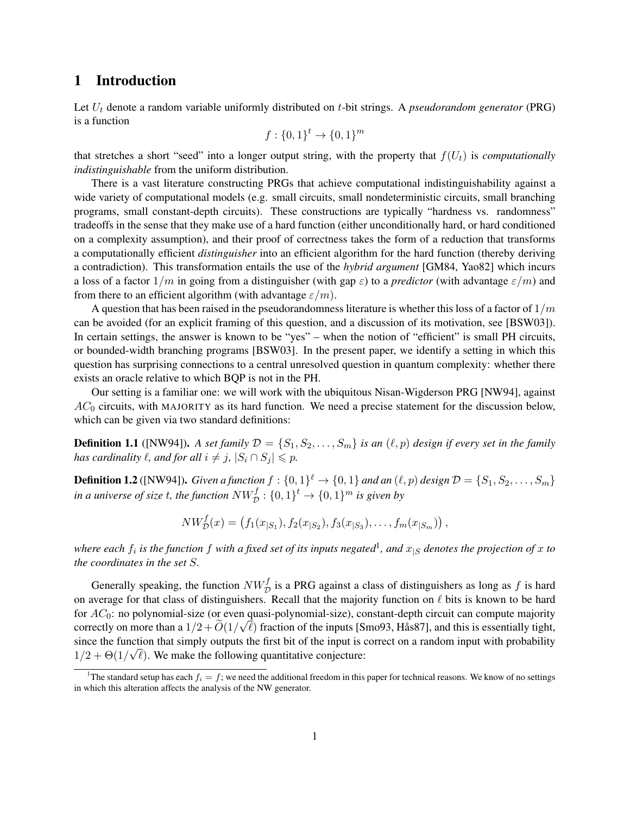# 1 Introduction

Let *U<sup>t</sup>* denote a random variable uniformly distributed on *t*-bit strings. A *pseudorandom generator* (PRG) is a function

$$
f: \{0,1\}^t \to \{0,1\}^m
$$

that stretches a short "seed" into a longer output string, with the property that  $f(U_t)$  is *computationally indistinguishable* from the uniform distribution.

There is a vast literature constructing PRGs that achieve computational indistinguishability against a wide variety of computational models (e.g. small circuits, small nondeterministic circuits, small branching programs, small constant-depth circuits). These constructions are typically "hardness vs. randomness" tradeoffs in the sense that they make use of a hard function (either unconditionally hard, or hard conditioned on a complexity assumption), and their proof of correctness takes the form of a reduction that transforms a computationally efficient *distinguisher* into an efficient algorithm for the hard function (thereby deriving a contradiction). This transformation entails the use of the *hybrid argument* [GM84, Yao82] which incurs a loss of a factor 1*/m* in going from a distinguisher (with gap *ε*) to a *predictor* (with advantage *ε/m*) and from there to an efficient algorithm (with advantage  $\varepsilon/m$ ).

A question that has been raised in the pseudorandomness literature is whether this loss of a factor of 1*/m* can be avoided (for an explicit framing of this question, and a discussion of its motivation, see [BSW03]). In certain settings, the answer is known to be "yes" – when the notion of "efficient" is small PH circuits, or bounded-width branching programs [BSW03]. In the present paper, we identify a setting in which this question has surprising connections to a central unresolved question in quantum complexity: whether there exists an oracle relative to which BQP is not in the PH.

Our setting is a familiar one: we will work with the ubiquitous Nisan-Wigderson PRG [NW94], against *AC*<sup>0</sup> circuits, with MAJORITY as its hard function. We need a precise statement for the discussion below, which can be given via two standard definitions:

**Definition 1.1** ([NW94]). A set family  $\mathcal{D} = \{S_1, S_2, \ldots, S_m\}$  is an  $(\ell, p)$  design if every set in the family *has cardinality*  $\ell$ *, and for all*  $i \neq j$ *,*  $|S_i \cap S_j| \leq p$ *.* 

**Definition 1.2** ([NW94]). Given a function  $f: \{0,1\}^{\ell} \to \{0,1\}$  and an  $(\ell,p)$  design  $\mathcal{D} = \{S_1, S_2, \ldots, S_m\}$ *in a universe of size t, the function*  $NW_{\mathcal{D}}^f:\{0,1\}^t \rightarrow \{0,1\}^m$  *is given by* 

$$
NW_{\mathcal{D}}^f(x) = (f_1(x_{|S_1}), f_2(x_{|S_2}), f_3(x_{|S_3}), \dots, f_m(x_{|S_m}))
$$

where each  $f_i$  is the function  $f$  with a fixed set of its inputs negated<sup>1</sup>, and  $x_{|S}$  denotes the projection of  $x$  to *the coordinates in the set S.*

Generally speaking, the function  $NW_{\mathcal{D}}^f$  is a PRG against a class of distinguishers as long as  $f$  is hard on average for that class of distinguishers. Recall that the majority function on *ℓ* bits is known to be hard *for AC*<sub>0</sub>: no polynomial-size (or even quasi-polynomial-size), constant-depth circuit can compute majority correctly on more than a  $1/2 + O(1/\sqrt{\ell})$  fraction of the inputs [Smo93, Hås87], and this is essentially tight, since the function that simply outputs the first bit of the input is correct on a random input with probability *√*  $1/2 + \Theta(1/\sqrt{\ell})$ . We make the following quantitative conjecture:

<sup>&</sup>lt;sup>1</sup>The standard setup has each  $f_i = f$ ; we need the additional freedom in this paper for technical reasons. We know of no settings in which this alteration affects the analysis of the NW generator.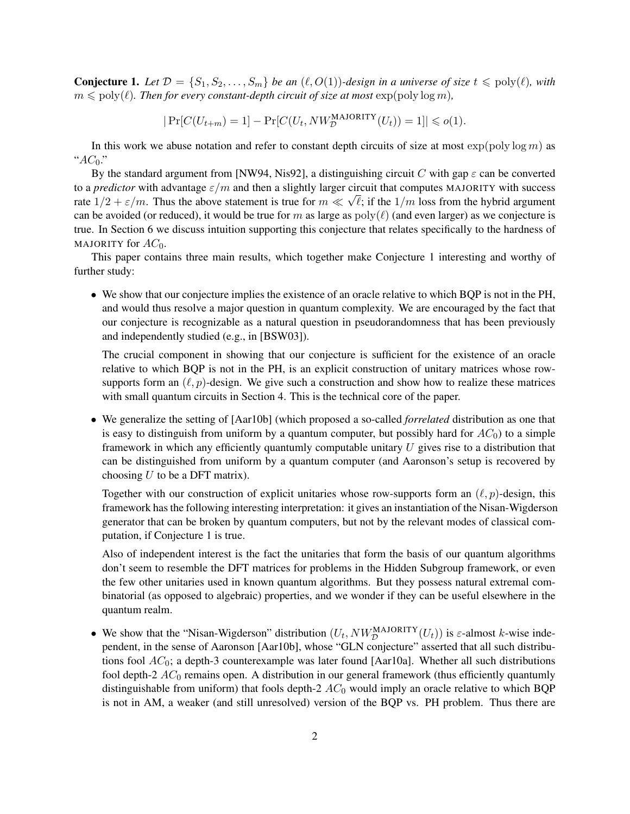**Conjecture 1.** Let  $\mathcal{D} = \{S_1, S_2, \ldots, S_m\}$  be an  $(\ell, O(1))$ -design in a universe of size  $t \leq \text{poly}(\ell)$ , with  $m \leqslant \text{poly}(\ell)$ . Then for every constant-depth circuit of size at most  $\exp(\text{poly}\log m)$ ,

$$
|\Pr[C(U_{t+m})=1]-\Pr[C(U_t, NW_{\mathcal{D}}^{\text{MAJORITY}}(U_t))=1]|\leqslant o(1).
$$

In this work we abuse notation and refer to constant depth circuits of size at most  $\exp(\text{poly}\log m)$  as "*AC*0."

By the standard argument from [NW94, Nis92], a distinguishing circuit *C* with gap  $\varepsilon$  can be converted to a *predictor* with advantage  $\varepsilon/m$  and then a slightly larger circuit that computes MAJORITY with success rate  $1/2 + \varepsilon/m$ . Thus the above statement is true for  $m \ll \sqrt{\ell}$ ; if the  $1/m$  loss from the hybrid argument can be avoided (or reduced), it would be true for *m* as large as  $poly(\ell)$  (and even larger) as we conjecture is true. In Section 6 we discuss intuition supporting this conjecture that relates specifically to the hardness of MAJORITY for  $AC_0$ .

This paper contains three main results, which together make Conjecture 1 interesting and worthy of further study:

• We show that our conjecture implies the existence of an oracle relative to which BQP is not in the PH, and would thus resolve a major question in quantum complexity. We are encouraged by the fact that our conjecture is recognizable as a natural question in pseudorandomness that has been previously and independently studied (e.g., in [BSW03]).

The crucial component in showing that our conjecture is sufficient for the existence of an oracle relative to which BQP is not in the PH, is an explicit construction of unitary matrices whose rowsupports form an  $(\ell, p)$ -design. We give such a construction and show how to realize these matrices with small quantum circuits in Section 4. This is the technical core of the paper.

• We generalize the setting of [Aar10b] (which proposed a so-called *forrelated* distribution as one that is easy to distinguish from uniform by a quantum computer, but possibly hard for  $AC<sub>0</sub>$ ) to a simple framework in which any efficiently quantumly computable unitary *U* gives rise to a distribution that can be distinguished from uniform by a quantum computer (and Aaronson's setup is recovered by choosing *U* to be a DFT matrix).

Together with our construction of explicit unitaries whose row-supports form an (*ℓ, p*)-design, this framework has the following interesting interpretation: it gives an instantiation of the Nisan-Wigderson generator that can be broken by quantum computers, but not by the relevant modes of classical computation, if Conjecture 1 is true.

Also of independent interest is the fact the unitaries that form the basis of our quantum algorithms don't seem to resemble the DFT matrices for problems in the Hidden Subgroup framework, or even the few other unitaries used in known quantum algorithms. But they possess natural extremal combinatorial (as opposed to algebraic) properties, and we wonder if they can be useful elsewhere in the quantum realm.

• We show that the "Nisan-Wigderson" distribution  $(U_t, NW_{\mathcal{D}}^{MAJORITY}(U_t))$  is  $\varepsilon$ -almost *k*-wise independent, in the sense of Aaronson [Aar10b], whose "GLN conjecture" asserted that all such distributions fool *AC*0; a depth-3 counterexample was later found [Aar10a]. Whether all such distributions fool depth-2 *AC*<sub>0</sub> remains open. A distribution in our general framework (thus efficiently quantumly distinguishable from uniform) that fools depth-2  $AC_0$  would imply an oracle relative to which BQP is not in AM, a weaker (and still unresolved) version of the BQP vs. PH problem. Thus there are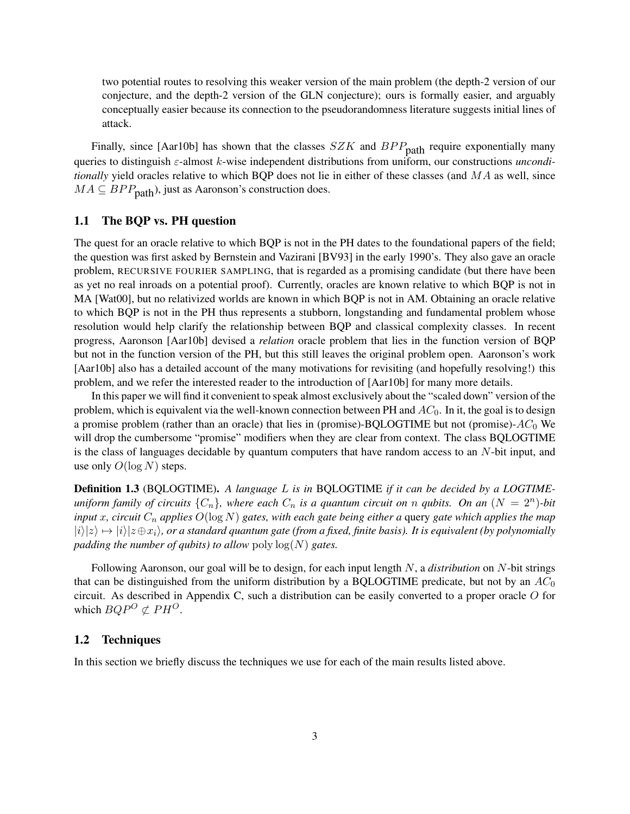two potential routes to resolving this weaker version of the main problem (the depth-2 version of our conjecture, and the depth-2 version of the GLN conjecture); ours is formally easier, and arguably conceptually easier because its connection to the pseudorandomness literature suggests initial lines of attack.

Finally, since [Aar10b] has shown that the classes *SZK* and *BPP*<sub>path</sub> require exponentially many queries to distinguish *ε*-almost *k*-wise independent distributions from uniform, our constructions *unconditionally* yield oracles relative to which BQP does not lie in either of these classes (and *MA* as well, since  $MA \subseteq BPP_{\text{path}}$ ), just as Aaronson's construction does.

### 1.1 The BQP vs. PH question

The quest for an oracle relative to which BQP is not in the PH dates to the foundational papers of the field; the question was first asked by Bernstein and Vazirani [BV93] in the early 1990's. They also gave an oracle problem, RECURSIVE FOURIER SAMPLING, that is regarded as a promising candidate (but there have been as yet no real inroads on a potential proof). Currently, oracles are known relative to which BQP is not in MA [Wat00], but no relativized worlds are known in which BQP is not in AM. Obtaining an oracle relative to which BQP is not in the PH thus represents a stubborn, longstanding and fundamental problem whose resolution would help clarify the relationship between BQP and classical complexity classes. In recent progress, Aaronson [Aar10b] devised a *relation* oracle problem that lies in the function version of BQP but not in the function version of the PH, but this still leaves the original problem open. Aaronson's work [Aar10b] also has a detailed account of the many motivations for revisiting (and hopefully resolving!) this problem, and we refer the interested reader to the introduction of [Aar10b] for many more details.

In this paper we will find it convenient to speak almost exclusively about the "scaled down" version of the problem, which is equivalent via the well-known connection between PH and *AC*0. In it, the goal is to design a promise problem (rather than an oracle) that lies in (promise)-BQLOGTIME but not (promise)-*AC*<sup>0</sup> We will drop the cumbersome "promise" modifiers when they are clear from context. The class BQLOGTIME is the class of languages decidable by quantum computers that have random access to an *N*-bit input, and use only  $O(\log N)$  steps.

Definition 1.3 (BQLOGTIME). *A language L is in* BQLOGTIME *if it can be decided by a LOGTIMEuniform family of circuits*  ${C_n}$ , where each  $C_n$  is a quantum circuit on n qubits. On an  $(N = 2^n)$ -bit *input x, circuit C<sup>n</sup> applies O*(log *N*) *gates, with each gate being either a* query *gate which applies the map*  $|i\rangle|z\rangle \mapsto |i\rangle|z \oplus x_i\rangle$ , or a standard quantum gate (from a fixed, finite basis). It is equivalent (by polynomially *padding the number of qubits) to allow* poly log(*N*) *gates.*

Following Aaronson, our goal will be to design, for each input length *N*, a *distribution* on *N*-bit strings that can be distinguished from the uniform distribution by a BQLOGTIME predicate, but not by an *AC*<sup>0</sup> circuit. As described in Appendix C, such a distribution can be easily converted to a proper oracle *O* for which  $BQP^O \not\subset PH^O$ .

#### 1.2 Techniques

In this section we briefly discuss the techniques we use for each of the main results listed above.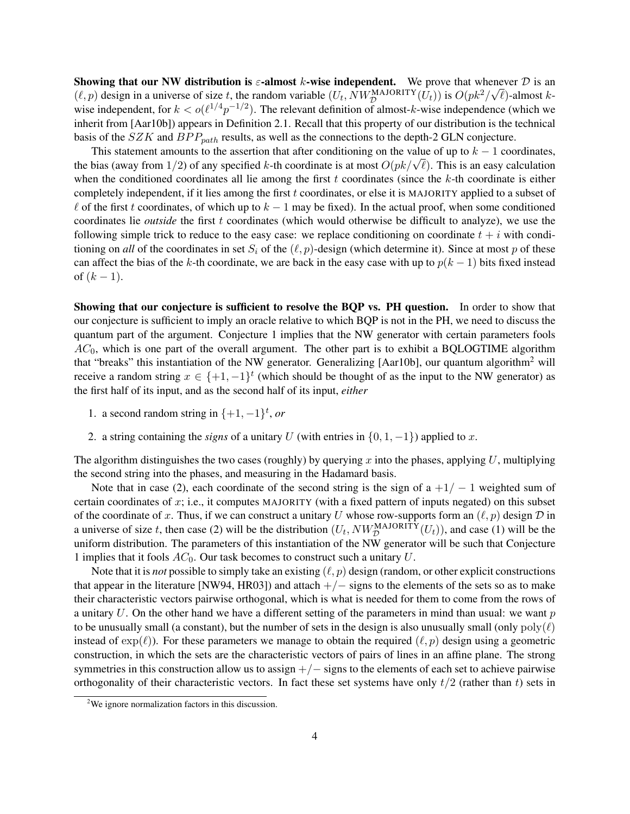**Showing that our NW distribution is**  $\varepsilon$ **-almost** *k***-wise independent. We prove that whenever**  $D$  **is an** *⁄***<sup>***n***</sup> is an** *i* $\sim$ *⁄***<sup>***n***</sup> is an** *i* $\sim$ *⁄***<sup>***n***</sup> is an** *i* $\sim$ *⁄***<sup>***n***</sup> is an** *i* $\sim$ *⁄***<sup>***n***</sup> is an** *i* $(\ell, p)$  design in a universe of size *t*, the random variable  $(U_t, NW_{\mathcal{D}}^{\text{MAJORITY}}(U_t))$  is  $O(pk^2/\sqrt{\ell})$ -almost *k*wise independent, for  $k < o(\ell^{1/4}p^{-1/2})$ . The relevant definition of almost-k-wise independence (which we inherit from [Aar10b]) appears in Definition 2.1. Recall that this property of our distribution is the technical basis of the *SZK* and *BP Ppath* results, as well as the connections to the depth-2 GLN conjecture.

This statement amounts to the assertion that after conditioning on the value of up to *k −* 1 coordinates, the bias (away from 1/2) of any specified *k*-th coordinate is at most  $O(pk/\sqrt{\ell})$ . This is an easy calculation the bias (away from 1/2) of any specified *k*-th coordinate is at most  $O(pk/\sqrt{\ell})$ . when the conditioned coordinates all lie among the first *t* coordinates (since the *k*-th coordinate is either completely independent, if it lies among the first *t* coordinates, or else it is MAJORITY applied to a subset of *ℓ* of the first *t* coordinates, of which up to *k −* 1 may be fixed). In the actual proof, when some conditioned coordinates lie *outside* the first *t* coordinates (which would otherwise be difficult to analyze), we use the following simple trick to reduce to the easy case: we replace conditioning on coordinate  $t + i$  with conditioning on *all* of the coordinates in set  $S_i$  of the  $(\ell, p)$ -design (which determine it). Since at most *p* of these can affect the bias of the *k*-th coordinate, we are back in the easy case with up to  $p(k - 1)$  bits fixed instead of  $(k - 1)$ .

Showing that our conjecture is sufficient to resolve the BQP vs. PH question. In order to show that our conjecture is sufficient to imply an oracle relative to which BQP is not in the PH, we need to discuss the quantum part of the argument. Conjecture 1 implies that the NW generator with certain parameters fools *AC*0, which is one part of the overall argument. The other part is to exhibit a BQLOGTIME algorithm that "breaks" this instantiation of the NW generator. Generalizing [Aar10b], our quantum algorithm<sup>2</sup> will receive a random string  $x \in \{+1, -1\}^t$  (which should be thought of as the input to the NW generator) as the first half of its input, and as the second half of its input, *either*

- 1. a second random string in  $\{+1, -1\}^t$ , *or*
- 2. a string containing the *signs* of a unitary *U* (with entries in  $\{0, 1, -1\}$ ) applied to *x*.

The algorithm distinguishes the two cases (roughly) by querying *x* into the phases, applying *U*, multiplying the second string into the phases, and measuring in the Hadamard basis.

Note that in case (2), each coordinate of the second string is the sign of a +1*/ −* 1 weighted sum of certain coordinates of *x*; i.e., it computes MAJORITY (with a fixed pattern of inputs negated) on this subset of the coordinate of *x*. Thus, if we can construct a unitary *U* whose row-supports form an  $(\ell, p)$  design  $D$  in a universe of size *t*, then case (2) will be the distribution  $(U_t, NW_{\mathcal{D}}^{MAJORITY}(U_t))$ , and case (1) will be the uniform distribution. The parameters of this instantiation of the NW generator will be such that Conjecture 1 implies that it fools *AC*0. Our task becomes to construct such a unitary *U*.

Note that it is *not* possible to simply take an existing (*ℓ, p*) design (random, or other explicit constructions that appear in the literature [NW94, HR03]) and attach  $+/-$  signs to the elements of the sets so as to make their characteristic vectors pairwise orthogonal, which is what is needed for them to come from the rows of a unitary *U*. On the other hand we have a different setting of the parameters in mind than usual: we want *p* to be unusually small (a constant), but the number of sets in the design is also unusually small (only  $poly(\ell)$ ) instead of  $\exp(\ell)$ ). For these parameters we manage to obtain the required  $(\ell, p)$  design using a geometric construction, in which the sets are the characteristic vectors of pairs of lines in an affine plane. The strong symmetries in this construction allow us to assign +*/−* signs to the elements of each set to achieve pairwise orthogonality of their characteristic vectors. In fact these set systems have only *t/*2 (rather than *t*) sets in

<sup>&</sup>lt;sup>2</sup>We ignore normalization factors in this discussion.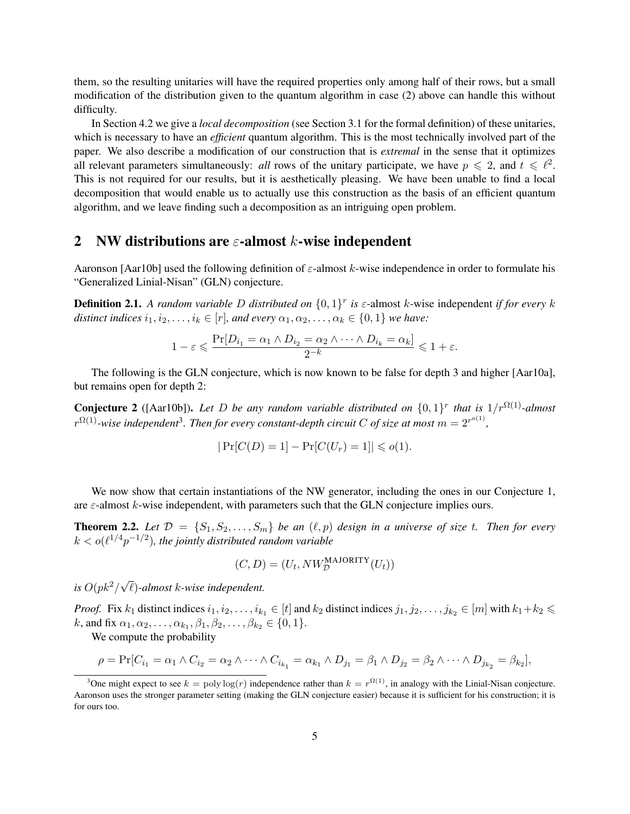them, so the resulting unitaries will have the required properties only among half of their rows, but a small modification of the distribution given to the quantum algorithm in case (2) above can handle this without difficulty.

In Section 4.2 we give a *local decomposition* (see Section 3.1 for the formal definition) of these unitaries, which is necessary to have an *efficient* quantum algorithm. This is the most technically involved part of the paper. We also describe a modification of our construction that is *extremal* in the sense that it optimizes all relevant parameters simultaneously: *all* rows of the unitary participate, we have  $p \le 2$ , and  $t \le \ell^2$ . This is not required for our results, but it is aesthetically pleasing. We have been unable to find a local decomposition that would enable us to actually use this construction as the basis of an efficient quantum algorithm, and we leave finding such a decomposition as an intriguing open problem.

### 2 NW distributions are *ε*-almost *k*-wise independent

Aaronson [Aar10b] used the following definition of *ε*-almost *k*-wise independence in order to formulate his "Generalized Linial-Nisan" (GLN) conjecture.

**Definition 2.1.** A random variable D distributed on  $\{0,1\}^r$  is  $\varepsilon$ -almost *k*-wise independent *if for every k distinct indices*  $i_1, i_2, \ldots, i_k \in [r]$ *, and every*  $\alpha_1, \alpha_2, \ldots, \alpha_k \in \{0, 1\}$  *we have:* 

$$
1 - \varepsilon \leqslant \frac{\Pr[D_{i_1} = \alpha_1 \wedge D_{i_2} = \alpha_2 \wedge \dots \wedge D_{i_k} = \alpha_k]}{2^{-k}} \leqslant 1 + \varepsilon.
$$

The following is the GLN conjecture, which is now known to be false for depth 3 and higher [Aar10a], but remains open for depth 2:

**Conjecture 2** ([Aar10b]). Let D be any random variable distributed on  $\{0,1\}^r$  that is  $1/r^{\Omega(1)}$ -almost  $r^{\Omega(1)}$ -wise independent<sup>3</sup>. Then for every constant-depth circuit C of size at most  $m = 2^{r^{o(1)}}$ ,

$$
|\Pr[C(D) = 1] - \Pr[C(U_r) = 1]| \leq o(1).
$$

We now show that certain instantiations of the NW generator, including the ones in our Conjecture 1, are *ε*-almost *k*-wise independent, with parameters such that the GLN conjecture implies ours.

**Theorem 2.2.** Let  $\mathcal{D} = \{S_1, S_2, \ldots, S_m\}$  be an  $(\ell, p)$  design in a universe of size *t*. Then for every  $k < o(\ell^{1/4}p^{-1/2})$ , the jointly distributed random variable

$$
(C, D) = (U_t, NW_{\mathcal{D}}^{\text{MAJORITY}}(U_t))
$$

*is*  $O(pk^2/\sqrt{2})$ *ℓ*)*-almost k-wise independent.*

*Proof.* Fix  $k_1$  distinct indices  $i_1, i_2, \ldots, i_{k_1} \in [t]$  and  $k_2$  distinct indices  $j_1, j_2, \ldots, j_{k_2} \in [m]$  with  $k_1 + k_2 \leq$  $k$ , and fix  $\alpha_1, \alpha_2, \ldots, \alpha_{k_1}, \beta_1, \beta_2, \ldots, \beta_{k_2} \in \{0, 1\}.$ 

We compute the probability

$$
\rho = \Pr[C_{i_1} = \alpha_1 \wedge C_{i_2} = \alpha_2 \wedge \cdots \wedge C_{i_{k_1}} = \alpha_{k_1} \wedge D_{j_1} = \beta_1 \wedge D_{j_2} = \beta_2 \wedge \cdots \wedge D_{j_{k_2}} = \beta_{k_2}],
$$

<sup>&</sup>lt;sup>3</sup>One might expect to see  $k = \text{poly}\log(r)$  independence rather than  $k = r^{\Omega(1)}$ , in analogy with the Linial-Nisan conjecture. Aaronson uses the stronger parameter setting (making the GLN conjecture easier) because it is sufficient for his construction; it is for ours too.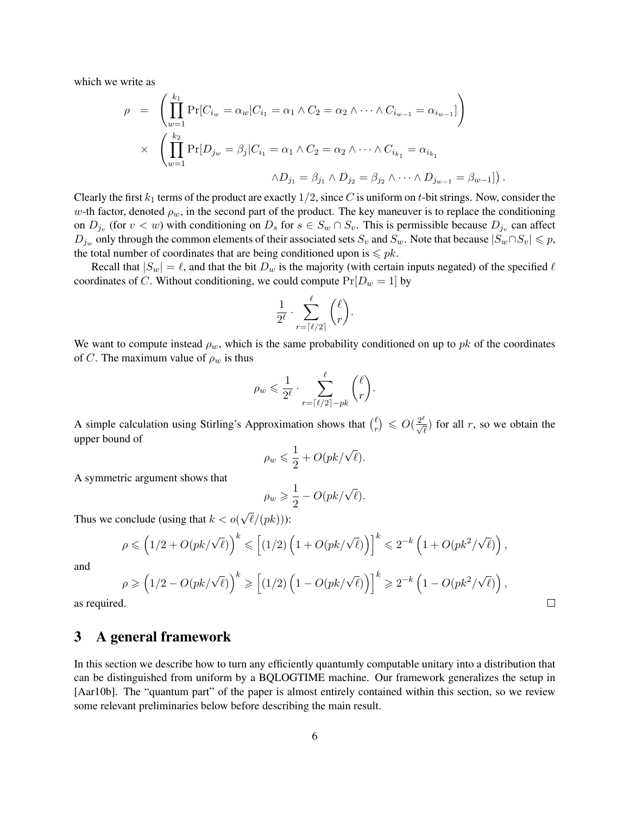which we write as

$$
\rho = \left( \prod_{w=1}^{k_1} \Pr[C_{i_w} = \alpha_w | C_{i_1} = \alpha_1 \land C_2 = \alpha_2 \land \dots \land C_{i_{w-1}} = \alpha_{i_{w-1}}] \right)
$$
  
 
$$
\times \left( \prod_{w=1}^{k_2} \Pr[D_{j_w} = \beta_j | C_{i_1} = \alpha_1 \land C_2 = \alpha_2 \land \dots \land C_{i_{k_1}} = \alpha_{i_{k_1}}
$$
  
 
$$
\land D_{j_1} = \beta_{j_1} \land D_{j_2} = \beta_{j_2} \land \dots \land D_{j_{w-1}} = \beta_{w-1}])
$$

Clearly the first  $k_1$  terms of the product are exactly  $1/2$ , since *C* is uniform on *t*-bit strings. Now, consider the *w*-th factor, denoted  $\rho_w$ , in the second part of the product. The key maneuver is to replace the conditioning on  $D_{j_v}$  (for  $v < w$ ) with conditioning on  $D_s$  for  $s \in S_w \cap S_v$ . This is permissible because  $D_{j_v}$  can affect  $D_{j_w}$  only through the common elements of their associated sets  $S_v$  and  $S_w$ . Note that because  $|S_w \cap S_v| \leq p$ , the total number of coordinates that are being conditioned upon is  $\leq p$ k.

*.*

 $\Box$ 

Recall that  $|S_w| = \ell$ , and that the bit  $D_w$  is the majority (with certain inputs negated) of the specified  $\ell$ coordinates of *C*. Without conditioning, we could compute  $Pr[D_w = 1]$  by

$$
\frac{1}{2^\ell}\cdot \sum_{r=\lceil \ell/2\rceil}^\ell\binom{\ell}{r}.
$$

We want to compute instead  $\rho_w$ , which is the same probability conditioned on up to *pk* of the coordinates of *C*. The maximum value of  $\rho_w$  is thus

$$
\rho_w \leqslant \frac{1}{2^{\ell}} \cdot \sum_{r=\lceil \ell/2 \rceil -pk}^{\ell} {\ell \choose r}.
$$

A simple calculation using Stirling's Approximation shows that  $\binom{\ell}{r}$  $\binom{\ell}{r} \leqslant O(\frac{2^{\ell}}{\sqrt{\ell}})$  for all *r*, so we obtain the upper bound of

$$
\rho_w \leqslant \frac{1}{2} + O(pk/\sqrt{\ell}).
$$

A symmetric argument shows that

$$
\rho_w \geq \frac{1}{2} - O(pk/\sqrt{\ell}).
$$

Thus we conclude (using that *k < o*( *√ ℓ/*(*pk*))):

$$
\rho \leqslant \Big(1/2 + O(pk/\sqrt{\ell})\Big)^k \leqslant \Big[(1/2)\left(1 + O(pk/\sqrt{\ell})\right)\Big]^k \leqslant 2^{-k}\left(1 + O(pk^2/\sqrt{\ell})\right),
$$

and

$$
\rho \geqslant \left(1/2-O(pk/\sqrt{\ell})\right)^k \geqslant \left[(1/2)\left(1-O(pk/\sqrt{\ell})\right)\right]^k \geqslant 2^{-k}\left(1-O(pk^2/\sqrt{\ell})\right),
$$

as required.

# 3 A general framework

In this section we describe how to turn any efficiently quantumly computable unitary into a distribution that can be distinguished from uniform by a BQLOGTIME machine. Our framework generalizes the setup in [Aar10b]. The "quantum part" of the paper is almost entirely contained within this section, so we review some relevant preliminaries below before describing the main result.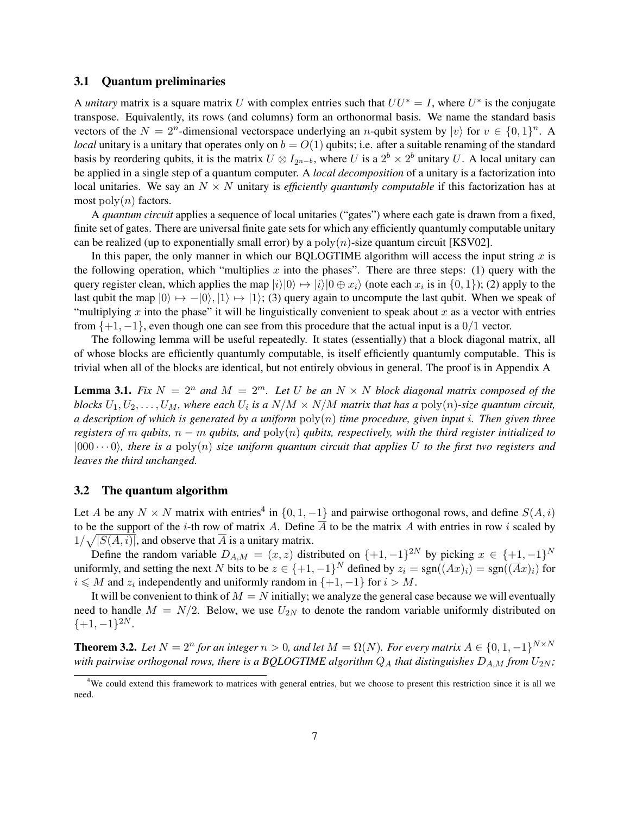#### 3.1 Quantum preliminaries

A *unitary* matrix is a square matrix *U* with complex entries such that  $UU^* = I$ , where  $U^*$  is the conjugate transpose. Equivalently, its rows (and columns) form an orthonormal basis. We name the standard basis vectors of the  $N = 2^n$ -dimensional vectorspace underlying an *n*-qubit system by  $|v\rangle$  for  $v \in \{0, 1\}^n$ . A *local* unitary is a unitary that operates only on  $b = O(1)$  qubits; i.e. after a suitable renaming of the standard basis by reordering qubits, it is the matrix  $U \otimes I_{2^{n-b}}$ , where  $U$  is a  $2^b \times 2^b$  unitary  $U$ . A local unitary can be applied in a single step of a quantum computer. A *local decomposition* of a unitary is a factorization into local unitaries. We say an  $N \times N$  unitary is *efficiently quantumly computable* if this factorization has at most  $\text{poly}(n)$  factors.

A *quantum circuit* applies a sequence of local unitaries ("gates") where each gate is drawn from a fixed, finite set of gates. There are universal finite gate sets for which any efficiently quantumly computable unitary can be realized (up to exponentially small error) by a  $poly(n)$ -size quantum circuit [KSV02].

In this paper, the only manner in which our BQLOGTIME algorithm will access the input string  $x$  is the following operation, which "multiplies  $x$  into the phases". There are three steps: (1) query with the query register clean, which applies the map  $|i\rangle|0\rangle \mapsto |i\rangle|0 \oplus x_i\rangle$  (note each  $x_i$  is in  $\{0,1\}$ ); (2) apply to the last qubit the map  $|0\rangle \mapsto -|0\rangle$ ,  $|1\rangle \mapsto |1\rangle$ ; (3) query again to uncompute the last qubit. When we speak of "multiplying *x* into the phase" it will be linguistically convenient to speak about *x* as a vector with entries from  $\{+1, -1\}$ , even though one can see from this procedure that the actual input is a  $0/1$  vector.

The following lemma will be useful repeatedly. It states (essentially) that a block diagonal matrix, all of whose blocks are efficiently quantumly computable, is itself efficiently quantumly computable. This is trivial when all of the blocks are identical, but not entirely obvious in general. The proof is in Appendix A

**Lemma 3.1.** Fix  $N = 2^n$  and  $M = 2^m$ . Let U be an  $N \times N$  block diagonal matrix composed of the *blocks*  $U_1, U_2, \ldots, U_M$ , where each  $U_i$  is a  $N/M \times N/M$  matrix that has a  $\text{poly}(n)$ -size quantum circuit, *a description of which is generated by a uniform* poly(*n*) *time procedure, given input i. Then given three registers of m qubits, n − m qubits, and* poly(*n*) *qubits, respectively, with the third register initialized to*  $|000 \cdots 0\rangle$ , there is a poly $(n)$  size uniform quantum circuit that applies U to the first two registers and *leaves the third unchanged.*

#### 3.2 The quantum algorithm

Let *A* be any  $N \times N$  matrix with entries<sup>4</sup> in  $\{0, 1, -1\}$  and pairwise orthogonal rows, and define  $S(A, i)$ to be the support of the *i*-th row of matrix *A*. Define  $\overline{A}$  to be the matrix *A* with entries in row *i* scaled by  $1/\sqrt{|S(A, i)|}$ , and observe that  $\overline{A}$  is a unitary matrix.

Define the random variable  $D_{A,M} = (x, z)$  distributed on  $\{+1, -1\}^{2N}$  by picking  $x \in \{+1, -1\}^N$ uniformly, and setting the next *N* bits to be  $z \in \{+1, -1\}^N$  defined by  $z_i = \text{sgn}((Ax)_i) = \text{sgn}((\overline{A}x)_i)$  for *i* ≤ *M* and *z*<sub>*i*</sub> independently and uniformly random in  ${+1, -1}$  for *i > M*.

It will be convenient to think of  $M = N$  initially; we analyze the general case because we will eventually need to handle  $M = N/2$ . Below, we use  $U_{2N}$  to denote the random variable uniformly distributed on *{*+1*, −*1*}* <sup>2</sup>*<sup>N</sup>* .

**Theorem 3.2.** Let  $N = 2^n$  for an integer  $n > 0$ , and let  $M = \Omega(N)$ . For every matrix  $A \in \{0, 1, -1\}^{N \times N}$ *with pairwise orthogonal rows, there is a BQLOGTIME algorithm*  $Q_A$  *that distinguishes*  $D_{A,M}$  *from*  $U_{2N}$ *;* 

<sup>4</sup>We could extend this framework to matrices with general entries, but we choose to present this restriction since it is all we need.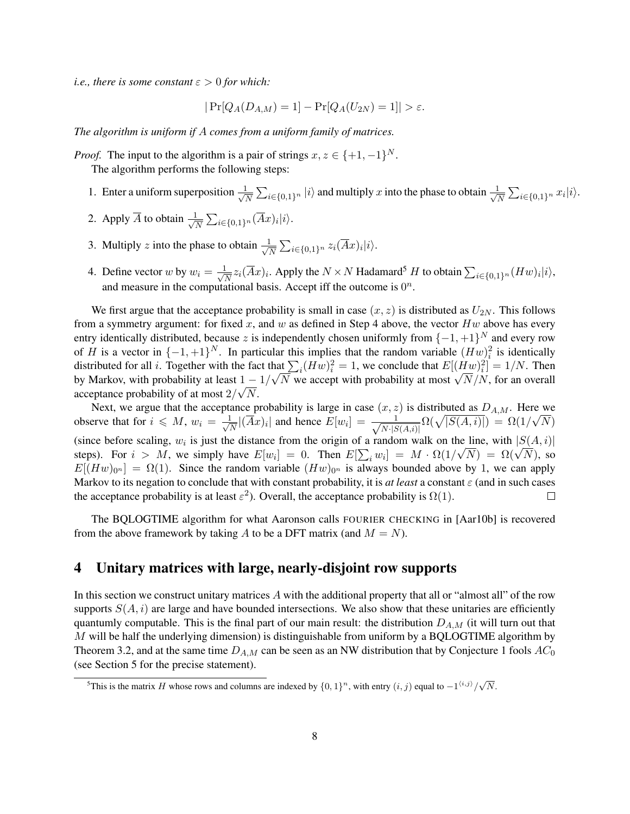*i.e., there is some constant*  $\varepsilon > 0$  *for which:* 

$$
|\Pr[Q_A(D_{A,M})=1] - \Pr[Q_A(U_{2N})=1]| > \varepsilon.
$$

*The algorithm is uniform if A comes from a uniform family of matrices.*

*Proof.* The input to the algorithm is a pair of strings  $x, z \in \{+1, -1\}^N$ . The algorithm performs the following steps:

- 1. Enter a uniform superposition *√* 1  $\frac{1}{N}$   $\sum_{i \in \{0,1\}^n}$  *|i* $\rangle$  and multiply *x* into the phase to obtain  $\frac{1}{\sqrt{l}}$  $\frac{1}{N}$  ∑<sub>*i*∈{0,1}</sub><sup>*n*</sup>  $x_i|i\rangle$ .
- 2. Apply  $\overline{A}$  to obtain  $\frac{1}{\sqrt{2}}$  $\frac{1}{\overline{N}}$  ∑<sub>*i*∈{0,1}</sub><sup>*n*</sup>( $\overline{A}x$ )*i*|*i*).
- 3. Multiply *z* into the phase to obtain  $\frac{1}{\sqrt{2}}$  $\frac{1}{N} \sum_{i \in \{0,1\}^n} z_i(\overline{A}x)_i |i\rangle.$
- 4. Define vector *w* by  $w_i = \frac{1}{\sqrt{2}}$  $\frac{1}{N}z_i(\overline{A}x)_i$ . Apply the  $N \times N$  Hadamard<sup>5</sup> *H* to obtain  $\sum_{i \in \{0,1\}^n} (Hw)_i|i\rangle$ , and measure in the computational basis. Accept iff the outcome is  $0^n$ .

We first argue that the acceptance probability is small in case  $(x, z)$  is distributed as  $U_{2N}$ . This follows from a symmetry argument: for fixed *x*, and *w* as defined in Step 4 above, the vector *Hw* above has every entry identically distributed, because *z* is independently chosen uniformly from *{−*1*,* +1*} <sup>N</sup>* and every row of *H* is a vector in  $\{-1, +1\}^N$ . In particular this implies that the random variable  $(Hw)_i^2$  is identically distributed for all *i*. Together with the fact that  $\sum_i (Hw)^2_i = 1$ , we conclude that  $E[(Hw)^2_i] = 1/N$ . Then by Markov, with probability at least  $1 - 1/\sqrt{N}$  we accept with probability at most  $\sqrt{N}/N$ , for an overall by Markov, with probability at least  $1 - 1/\sqrt{N}$  we accept with probability at most  $\sqrt{N}/N$ , for an overall acceptance probability of at most  $2/\sqrt{N}$ .

Next, we argue that the acceptance probability is large in case  $(x, z)$  is distributed as  $D_{A,M}$ . Here we *√*  $\frac{1}{N\cdot|S(A,i)|}\Omega(\sqrt{|S(A,i)|}) \ = \ \Omega(1/2)$ observe that for  $i \leq M$ ,  $w_i = \frac{1}{\sqrt{2}}$  $\frac{1}{N}$  $|\overline{(A}x)_i|$  and hence  $E[w_i] = \frac{1}{\sqrt{N \cdot |S|}}$ *N*) (since before scaling,  $w_i$  is just the distance from the origin of a random walk on the line, with  $|S(A, i)|$ steps). For  $i > M$ , we simply have  $E[w_i] = 0$ . Then  $E[\sum_i w_i] = M \cdot \Omega(1/\sqrt{N}) = \Omega(\sqrt{N})$ , so  $E[(Hw)_{0^n}] = \Omega(1)$ . Since the random variable  $(Hw)_{0^n}$  is always bounded above by 1, we can apply Markov to its negation to conclude that with constant probability, it is *at least* a constant  $\varepsilon$  (and in such cases the acceptance probability is at least  $\varepsilon^2$ ). Overall, the acceptance probability is  $\Omega(1)$ .  $\Box$ 

The BQLOGTIME algorithm for what Aaronson calls FOURIER CHECKING in [Aar10b] is recovered from the above framework by taking A to be a DFT matrix (and  $M = N$ ).

### 4 Unitary matrices with large, nearly-disjoint row supports

In this section we construct unitary matrices *A* with the additional property that all or "almost all" of the row supports  $S(A, i)$  are large and have bounded intersections. We also show that these unitaries are efficiently quantumly computable. This is the final part of our main result: the distribution *DA,M* (it will turn out that *M* will be half the underlying dimension) is distinguishable from uniform by a BQLOGTIME algorithm by Theorem 3.2, and at the same time *DA,M* can be seen as an NW distribution that by Conjecture 1 fools *AC*<sup>0</sup> (see Section 5 for the precise statement).

 $\overline{S}$ This is the matrix *H* whose rows and columns are indexed by  $\{0, 1\}^n$ , with entry  $(i, j)$  equal to  $-1^{\langle i, j \rangle}/\sqrt{N}$ .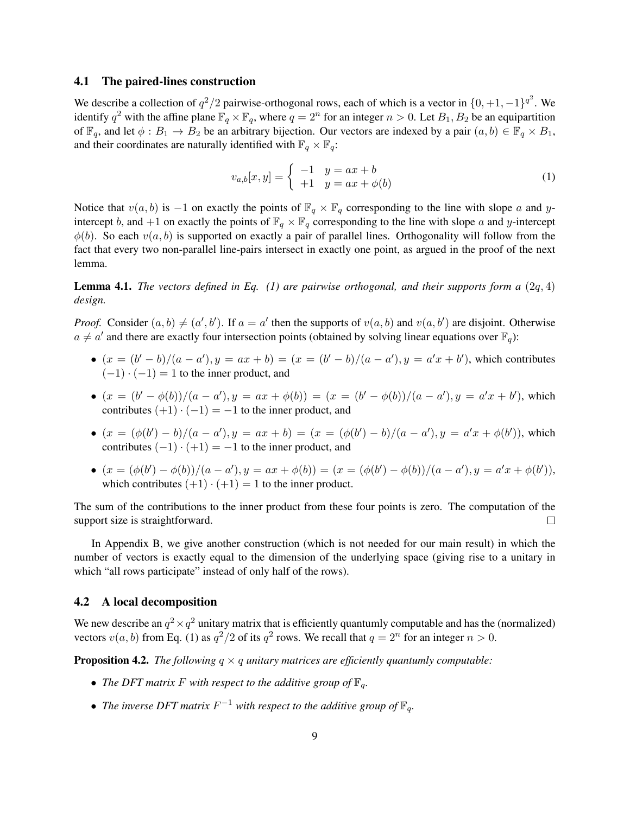#### 4.1 The paired-lines construction

We describe a collection of  $q^2/2$  pairwise-orthogonal rows, each of which is a vector in  $\{0, +1, -1\}^{q^2}$ . We identify  $q^2$  with the affine plane  $\mathbb{F}_q \times \mathbb{F}_q$ , where  $q = 2^n$  for an integer  $n > 0$ . Let  $B_1, B_2$  be an equipartition of  $\mathbb{F}_q$ , and let  $\phi : B_1 \to B_2$  be an arbitrary bijection. Our vectors are indexed by a pair  $(a, b) \in \mathbb{F}_q \times B_1$ , and their coordinates are naturally identified with  $\mathbb{F}_q \times \mathbb{F}_q$ :

$$
v_{a,b}[x,y] = \begin{cases} -1 & y = ax + b \\ +1 & y = ax + \phi(b) \end{cases}
$$
 (1)

Notice that  $v(a, b)$  is −1 on exactly the points of  $\mathbb{F}_q \times \mathbb{F}_q$  corresponding to the line with slope *a* and *y*intercept *b*, and +1 on exactly the points of  $\mathbb{F}_q \times \mathbb{F}_q$  corresponding to the line with slope *a* and *y*-intercept  $\phi(b)$ . So each  $v(a, b)$  is supported on exactly a pair of parallel lines. Orthogonality will follow from the fact that every two non-parallel line-pairs intersect in exactly one point, as argued in the proof of the next lemma.

Lemma 4.1. *The vectors defined in Eq. (1) are pairwise orthogonal, and their supports form a* (2*q,* 4) *design.*

*Proof.* Consider  $(a, b) \neq (a', b')$ . If  $a = a'$  then the supports of  $v(a, b)$  and  $v(a, b')$  are disjoint. Otherwise  $a \neq a'$  and there are exactly four intersection points (obtained by solving linear equations over  $\mathbb{F}_q$ ):

- $(x = (b' b)/(a a'), y = ax + b) = (x = (b' b)/(a a'), y = a'x + b')$ , which contributes  $(-1) \cdot (-1) = 1$  to the inner product, and
- $(x = (b' \phi(b))/(a a'), y = ax + \phi(b)) = (x = (b' \phi(b))/(a a'), y = a'x + b')$ , which contributes  $(+1) \cdot (-1) = -1$  to the inner product, and
- $(x = (\phi(b') b)/(a a'), y = ax + b) = (x = (\phi(b') b)/(a a'), y = a'x + \phi(b'))$ , which contributes  $(-1) \cdot (+1) = -1$  to the inner product, and
- $(x = (\phi(b') \phi(b))/(a a'), y = ax + \phi(b)) = (x = (\phi(b') \phi(b))/(a a'), y = a'x + \phi(b')),$ which contributes  $(+1) \cdot (+1) = 1$  to the inner product.

The sum of the contributions to the inner product from these four points is zero. The computation of the support size is straightforward.  $\Box$ 

In Appendix B, we give another construction (which is not needed for our main result) in which the number of vectors is exactly equal to the dimension of the underlying space (giving rise to a unitary in which "all rows participate" instead of only half of the rows).

#### 4.2 A local decomposition

We new describe an  $q^2 \times q^2$  unitary matrix that is efficiently quantumly computable and has the (normalized) vectors  $v(a, b)$  from Eq. (1) as  $q^2/2$  of its  $q^2$  rows. We recall that  $q = 2^n$  for an integer  $n > 0$ .

**Proposition 4.2.** *The following*  $q \times q$  *unitary matrices are efficiently quantumly computable:* 

- *The DFT matrix*  $F$  *with respect to the additive group of*  $\mathbb{F}_q$ *.*
- *• The inverse DFT matrix F <sup>−</sup>*<sup>1</sup> *with respect to the additive group of* F*q.*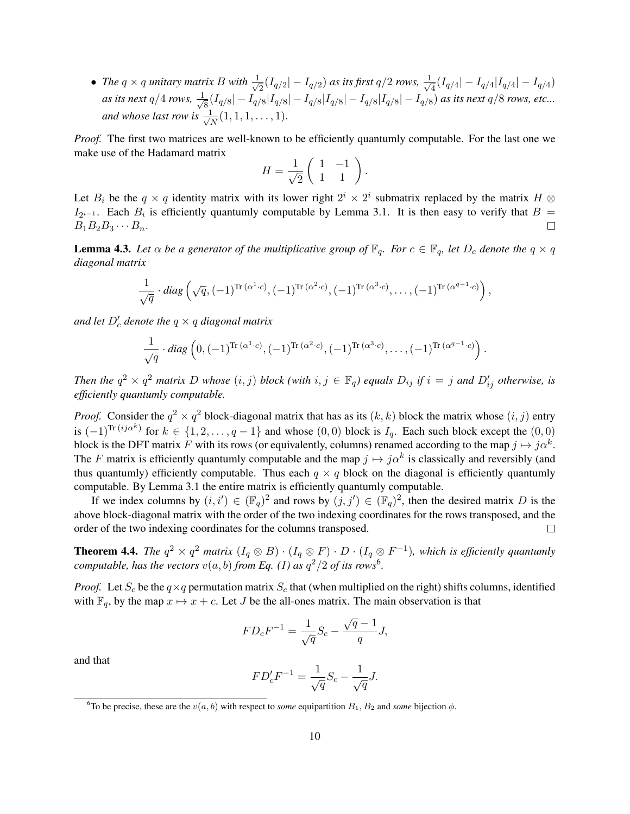• *The*  $q \times q$  *unitary matrix*  $B$  *with*  $\frac{1}{\sqrt{2}}$ 2 (*Iq/*<sup>2</sup> *| − Iq/*<sup>2</sup> ) *as its first q/*2 *rows, √* 1  $\frac{1}{4} (I_{q/4} | - I_{q/4} | I_{q/4} | - I_{q/4})$ *as its next*  $q/4$  *rows*,  $\frac{1}{\sqrt{2}}$  $\frac{1}{8}(I_{q/8}|-I_{q/8}|I_{q/8}|-I_{q/8}|I_{q/8}|-I_{q/8}|I_{q/8}|-I_{q/8})$  as its next  $q/8$  rows, etc... *and whose last row is √* 1  $\frac{1}{\overline{N}}(1,1,1,\ldots,1).$ 

*Proof.* The first two matrices are well-known to be efficiently quantumly computable. For the last one we make use of the Hadamard matrix

$$
H = \frac{1}{\sqrt{2}} \left( \begin{array}{cc} 1 & -1 \\ 1 & 1 \end{array} \right).
$$

Let  $B_i$  be the  $q \times q$  identity matrix with its lower right  $2^i \times 2^i$  submatrix replaced by the matrix  $H \otimes$  $I_{2^{i-1}}$ . Each  $B_i$  is efficiently quantumly computable by Lemma 3.1. It is then easy to verify that  $B =$  $B_1B_2B_3\cdots B_n$ .  $\Box$ 

**Lemma 4.3.** Let  $\alpha$  be a generator of the multiplicative group of  $\mathbb{F}_q$ . For  $c \in \mathbb{F}_q$ , let  $D_c$  denote the  $q \times q$ *diagonal matrix*

$$
\frac{1}{\sqrt{q}} \cdot diag\left(\sqrt{q}, (-1)^{\text{Tr}\,(\alpha^1 \cdot c)}, (-1)^{\text{Tr}\,(\alpha^2 \cdot c)}, (-1)^{\text{Tr}\,(\alpha^3 \cdot c)}, \ldots, (-1)^{\text{Tr}\,(\alpha^{q-1} \cdot c)}\right),
$$

*and let D′ <sup>c</sup> denote the q × q diagonal matrix*

$$
\frac{1}{\sqrt{q}} \cdot diag\left(0, (-1)^{\text{Tr}\,(\alpha^1 \cdot c)}, (-1)^{\text{Tr}\,(\alpha^2 \cdot c)}, (-1)^{\text{Tr}\,(\alpha^3 \cdot c)}, \ldots, (-1)^{\text{Tr}\,(\alpha^{q-1} \cdot c)}\right).
$$

Then the  $q^2 \times q^2$  matrix D whose  $(i, j)$  block (with  $i, j \in \mathbb{F}_q$ ) equals  $D_{ij}$  if  $i = j$  and  $D'_{ij}$  otherwise, is *efficiently quantumly computable.*

*Proof.* Consider the  $q^2 \times q^2$  block-diagonal matrix that has as its  $(k, k)$  block the matrix whose  $(i, j)$  entry is  $(-1)^{\text{Tr}(ij\alpha^k)}$  for  $k \in \{1, 2, \ldots, q-1\}$  and whose  $(0, 0)$  block is  $I_q$ . Each such block except the  $(0, 0)$ block is the DFT matrix *F* with its rows (or equivalently, columns) renamed according to the map  $j \mapsto j\alpha^k$ . The *F* matrix is efficiently quantumly computable and the map  $j \mapsto j\alpha^k$  is classically and reversibly (and thus quantumly) efficiently computable. Thus each  $q \times q$  block on the diagonal is efficiently quantumly computable. By Lemma 3.1 the entire matrix is efficiently quantumly computable.

If we index columns by  $(i, i') \in (\mathbb{F}_q)^2$  and rows by  $(j, j') \in (\mathbb{F}_q)^2$ , then the desired matrix *D* is the above block-diagonal matrix with the order of the two indexing coordinates for the rows transposed, and the order of the two indexing coordinates for the columns transposed.  $\Box$ 

**Theorem 4.4.** The  $q^2 \times q^2$  matrix  $(I_q \otimes B) \cdot (I_q \otimes F) \cdot D \cdot (I_q \otimes F^{-1})$ , which is efficiently quantumly *computable, has the vectors*  $v(a, b)$  *from Eq.* (1) as  $q^2/2$  *of its rows*<sup>6</sup>.

*Proof.* Let  $S_c$  be the  $q \times q$  permutation matrix  $S_c$  that (when multiplied on the right) shifts columns, identified with  $\mathbb{F}_q$ , by the map  $x \mapsto x + c$ . Let *J* be the all-ones matrix. The main observation is that

$$
FD_c F^{-1} = \frac{1}{\sqrt{q}} S_c - \frac{\sqrt{q} - 1}{q} J,
$$

and that

$$
FD_c'F^{-1} = \frac{1}{\sqrt{q}}S_c - \frac{1}{\sqrt{q}}J.
$$

<sup>&</sup>lt;sup>6</sup>To be precise, these are the  $v(a, b)$  with respect to *some* equipartition  $B_1, B_2$  and *some* bijection  $\phi$ .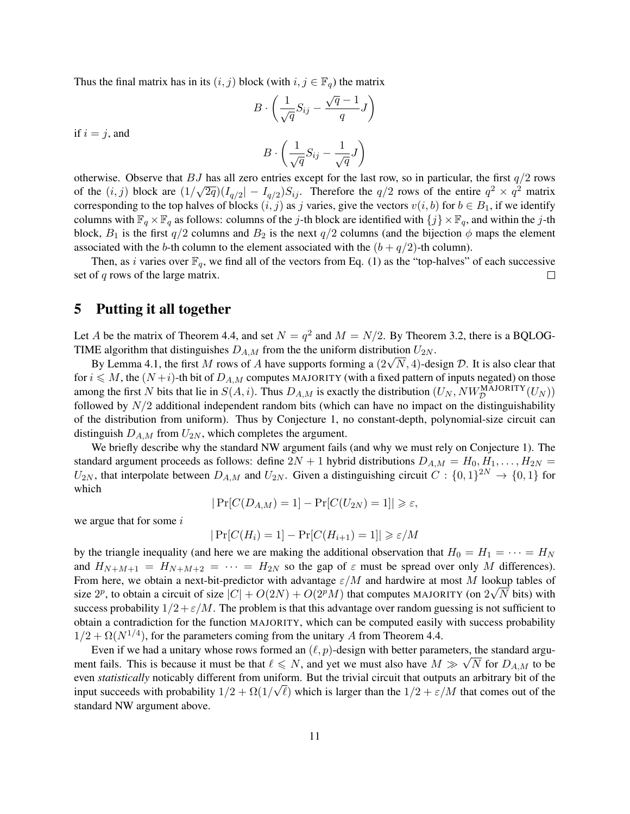Thus the final matrix has in its  $(i, j)$  block (with  $i, j \in \mathbb{F}_q$ ) the matrix

$$
B\cdot\left(\frac{1}{\sqrt{q}}S_{ij}-\frac{\sqrt{q}-1}{q}J\right)
$$

if  $i = j$ , and

$$
B\cdot\left(\frac{1}{\sqrt{q}}S_{ij}-\frac{1}{\sqrt{q}}J\right)
$$

otherwise. Observe that *BJ* has all zero entries except for the last row, so in particular, the first *q/*2 rows of the  $(i, j)$  block are  $(1/\sqrt{2q})(I_{q/2}|-I_{q/2})S_{ij}$ . Therefore the  $q/2$  rows of the entire  $q^2 \times q^2$  matrix corresponding to the top halves of blocks  $(i, j)$  as *j* varies, give the vectors  $v(i, b)$  for  $b \in B_1$ , if we identify columns with  $\mathbb{F}_q \times \mathbb{F}_q$  as follows: columns of the *j*-th block are identified with  $\{j\} \times \mathbb{F}_q$ , and within the *j*-th block,  $B_1$  is the first  $q/2$  columns and  $B_2$  is the next  $q/2$  columns (and the bijection  $\phi$  maps the element associated with the *b*-th column to the element associated with the  $(b + q/2)$ -th column).

Then, as *i* varies over  $\mathbb{F}_q$ , we find all of the vectors from Eq. (1) as the "top-halves" of each successive set of *q* rows of the large matrix.  $\Box$ 

### 5 Putting it all together

Let *A* be the matrix of Theorem 4.4, and set  $N = q^2$  and  $M = N/2$ . By Theorem 3.2, there is a BQLOG-TIME algorithm that distinguishes  $D_{A,M}$  from the the uniform distribution  $U_{2N}$ .

By Lemma 4.1, the first *M* rows of *A* have supports forming a  $(2\sqrt{N}, 4)$ -design *D*. It is also clear that By Lemma 4.1, the first *M* rows of *A* have supports forming a  $(2\sqrt{N}, 4)$ -design *D*. It is also clear that for  $i \leq M$ , the  $(N+i)$ -th bit of  $D_{A,M}$  computes MAJORITY (with a fixed pattern of inputs negated) on those among the first *N* bits that lie in  $S(A, i)$ . Thus  $D_{A,M}$  is exactly the distribution  $(U_N, NW_{\mathcal{D}}^{\text{MAJORITY}}(U_N))$ followed by *N/*2 additional independent random bits (which can have no impact on the distinguishability of the distribution from uniform). Thus by Conjecture 1, no constant-depth, polynomial-size circuit can distinguish  $D_{A,M}$  from  $U_{2N}$ , which completes the argument.

We briefly describe why the standard NW argument fails (and why we must rely on Conjecture 1). The standard argument proceeds as follows: define  $2N + 1$  hybrid distributions  $D_{A,M} = H_0, H_1, \ldots, H_{2N} =$  $U_{2N}$ , that interpolate between  $D_{A,M}$  and  $U_{2N}$ . Given a distinguishing circuit  $C: \{0,1\}^{2N} \to \{0,1\}$  for which

$$
|\Pr[C(D_{A,M})=1]-\Pr[C(U_{2N})=1]|\geqslant \varepsilon,
$$

we argue that for some *i*

$$
|\Pr[C(H_i) = 1] - \Pr[C(H_{i+1}) = 1]| \ge \varepsilon/M
$$

by the triangle inequality (and here we are making the additional observation that  $H_0 = H_1 = \cdots = H_N$ and  $H_{N+M+1} = H_{N+M+2} = \cdots = H_{2N}$  so the gap of  $\varepsilon$  must be spread over only M differences). From here, we obtain a next-bit-predictor with advantage *ε/M* and hardwire at most *M* lookup tables of *√* size  $2^p$ , to obtain a circuit of size  $|C| + O(2N) + O(2^pM)$  that computes MAJORITY (on  $2\sqrt{N}$  bits) with success probability  $1/2 + \varepsilon/M$ . The problem is that this advantage over random guessing is not sufficient to obtain a contradiction for the function MAJORITY, which can be computed easily with success probability  $1/2 + \Omega(N^{1/4})$ , for the parameters coming from the unitary A from Theorem 4.4.

Even if we had a unitary whose rows formed an  $(\ell, p)$ -design with better parameters, the standard argument fails. This is because it must be that  $\ell \leq N$ , and yet we must also have  $M \gg \sqrt{N}$  for  $D_{A,M}$  to be even *statistically* noticably different from uniform. But the trivial circuit that outputs an arbitrary bit of the input succeeds with probability  $1/2 + \Omega(1/\sqrt{\ell})$  which is larger than the  $1/2 + \varepsilon/M$  that comes out of the standard NW argument above.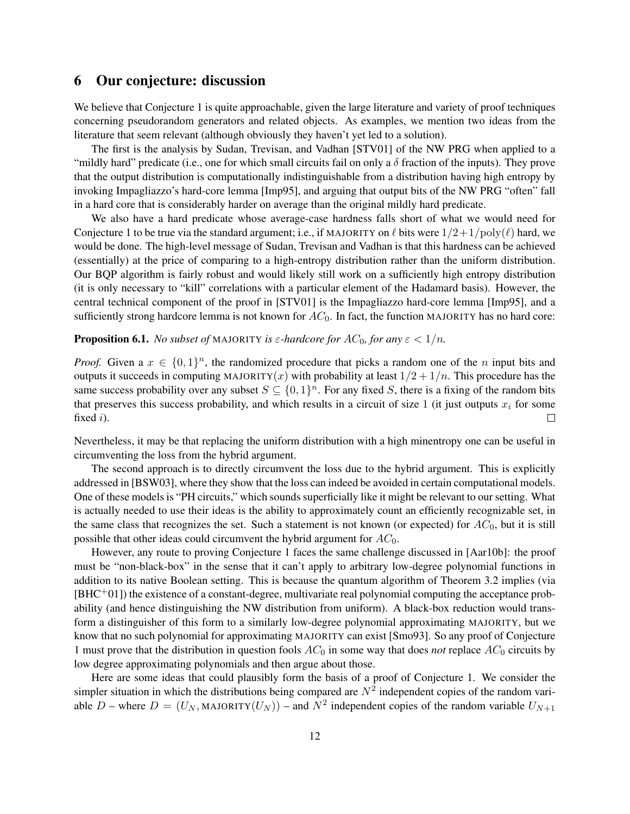### 6 Our conjecture: discussion

We believe that Conjecture 1 is quite approachable, given the large literature and variety of proof techniques concerning pseudorandom generators and related objects. As examples, we mention two ideas from the literature that seem relevant (although obviously they haven't yet led to a solution).

The first is the analysis by Sudan, Trevisan, and Vadhan [STV01] of the NW PRG when applied to a "mildly hard" predicate (i.e., one for which small circuits fail on only a  $\delta$  fraction of the inputs). They prove that the output distribution is computationally indistinguishable from a distribution having high entropy by invoking Impagliazzo's hard-core lemma [Imp95], and arguing that output bits of the NW PRG "often" fall in a hard core that is considerably harder on average than the original mildly hard predicate.

We also have a hard predicate whose average-case hardness falls short of what we would need for Conjecture 1 to be true via the standard argument; i.e., if MAJORITY on  $\ell$  bits were  $1/2+1/poly(\ell)$  hard, we would be done. The high-level message of Sudan, Trevisan and Vadhan is that this hardness can be achieved (essentially) at the price of comparing to a high-entropy distribution rather than the uniform distribution. Our BQP algorithm is fairly robust and would likely still work on a sufficiently high entropy distribution (it is only necessary to "kill" correlations with a particular element of the Hadamard basis). However, the central technical component of the proof in [STV01] is the Impagliazzo hard-core lemma [Imp95], and a sufficiently strong hardcore lemma is not known for  $AC_0$ . In fact, the function MAJORITY has no hard core:

### **Proposition 6.1.** *No subset of* MAJORITY *is*  $\varepsilon$ -hardcore for  $AC_0$ , for any  $\varepsilon < 1/n$ .

*Proof.* Given a  $x \in \{0,1\}^n$ , the randomized procedure that picks a random one of the *n* input bits and outputs it succeeds in computing MAJORITY $(x)$  with probability at least  $1/2 + 1/n$ . This procedure has the same success probability over any subset  $S \subseteq \{0,1\}^n$ . For any fixed *S*, there is a fixing of the random bits that preserves this success probability, and which results in a circuit of size 1 (it just outputs  $x_i$  for some fixed *i*).  $\Box$ 

Nevertheless, it may be that replacing the uniform distribution with a high minentropy one can be useful in circumventing the loss from the hybrid argument.

The second approach is to directly circumvent the loss due to the hybrid argument. This is explicitly addressed in [BSW03], where they show that the loss can indeed be avoided in certain computational models. One of these models is "PH circuits," which sounds superficially like it might be relevant to our setting. What is actually needed to use their ideas is the ability to approximately count an efficiently recognizable set, in the same class that recognizes the set. Such a statement is not known (or expected) for *AC*0, but it is still possible that other ideas could circumvent the hybrid argument for *AC*0.

However, any route to proving Conjecture 1 faces the same challenge discussed in [Aar10b]: the proof must be "non-black-box" in the sense that it can't apply to arbitrary low-degree polynomial functions in addition to its native Boolean setting. This is because the quantum algorithm of Theorem 3.2 implies (via  $[BHC<sup>+</sup>01]$ ) the existence of a constant-degree, multivariate real polynomial computing the acceptance probability (and hence distinguishing the NW distribution from uniform). A black-box reduction would transform a distinguisher of this form to a similarly low-degree polynomial approximating MAJORITY, but we know that no such polynomial for approximating MAJORITY can exist [Smo93]. So any proof of Conjecture 1 must prove that the distribution in question fools  $AC_0$  in some way that does *not* replace  $AC_0$  circuits by low degree approximating polynomials and then argue about those.

Here are some ideas that could plausibly form the basis of a proof of Conjecture 1. We consider the simpler situation in which the distributions being compared are  $N^2$  independent copies of the random variable *D* – where  $D = (U_N, MAJORITY(U_N))$  – and  $N^2$  independent copies of the random variable  $U_{N+1}$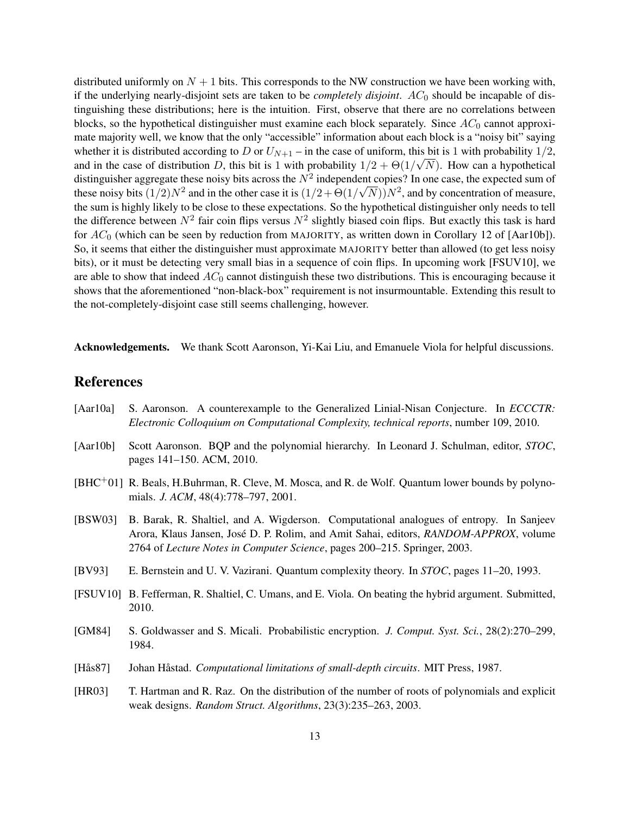distributed uniformly on  $N + 1$  bits. This corresponds to the NW construction we have been working with, if the underlying nearly-disjoint sets are taken to be *completely disjoint*. *AC*<sub>0</sub> should be incapable of distinguishing these distributions; here is the intuition. First, observe that there are no correlations between blocks, so the hypothetical distinguisher must examine each block separately. Since  $AC_0$  cannot approximate majority well, we know that the only "accessible" information about each block is a "noisy bit" saying whether it is distributed according to *D* or  $U_{N+1}$  – in the case of uniform, this bit is 1 with probability  $1/2$ , and in the case of distribution *D*, this bit is 1 with probability  $1/2 + \Theta(1/\sqrt{N})$ . How can a hypothetical distinguisher aggregate these noisy bits across the  $N^2$  independent copies? In one case, the expected sum of these noisy bits  $(1/2)N^2$  and in the other case it is  $(1/2 + \Theta(1/\sqrt{N}))N^2$ , and by concentration of measure, the sum is highly likely to be close to these expectations. So the hypothetical distinguisher only needs to tell the difference between  $N^2$  fair coin flips versus  $N^2$  slightly biased coin flips. But exactly this task is hard for *AC*<sup>0</sup> (which can be seen by reduction from MAJORITY, as written down in Corollary 12 of [Aar10b]). So, it seems that either the distinguisher must approximate MAJORITY better than allowed (to get less noisy bits), or it must be detecting very small bias in a sequence of coin flips. In upcoming work [FSUV10], we are able to show that indeed *AC*<sup>0</sup> cannot distinguish these two distributions. This is encouraging because it shows that the aforementioned "non-black-box" requirement is not insurmountable. Extending this result to the not-completely-disjoint case still seems challenging, however.

Acknowledgements. We thank Scott Aaronson, Yi-Kai Liu, and Emanuele Viola for helpful discussions.

# References

- [Aar10a] S. Aaronson. A counterexample to the Generalized Linial-Nisan Conjecture. In *ECCCTR: Electronic Colloquium on Computational Complexity, technical reports*, number 109, 2010.
- [Aar10b] Scott Aaronson. BQP and the polynomial hierarchy. In Leonard J. Schulman, editor, *STOC*, pages 141–150. ACM, 2010.
- [BHC+01] R. Beals, H.Buhrman, R. Cleve, M. Mosca, and R. de Wolf. Quantum lower bounds by polynomials. *J. ACM*, 48(4):778–797, 2001.
- [BSW03] B. Barak, R. Shaltiel, and A. Wigderson. Computational analogues of entropy. In Sanjeev Arora, Klaus Jansen, Jose D. P. Rolim, and Amit Sahai, editors, ´ *RANDOM-APPROX*, volume 2764 of *Lecture Notes in Computer Science*, pages 200–215. Springer, 2003.
- [BV93] E. Bernstein and U. V. Vazirani. Quantum complexity theory. In *STOC*, pages 11–20, 1993.
- [FSUV10] B. Fefferman, R. Shaltiel, C. Umans, and E. Viola. On beating the hybrid argument. Submitted, 2010.
- [GM84] S. Goldwasser and S. Micali. Probabilistic encryption. *J. Comput. Syst. Sci.*, 28(2):270–299, 1984.
- [Hås87] Johan Håstad. *Computational limitations of small-depth circuits*. MIT Press, 1987.
- [HR03] T. Hartman and R. Raz. On the distribution of the number of roots of polynomials and explicit weak designs. *Random Struct. Algorithms*, 23(3):235–263, 2003.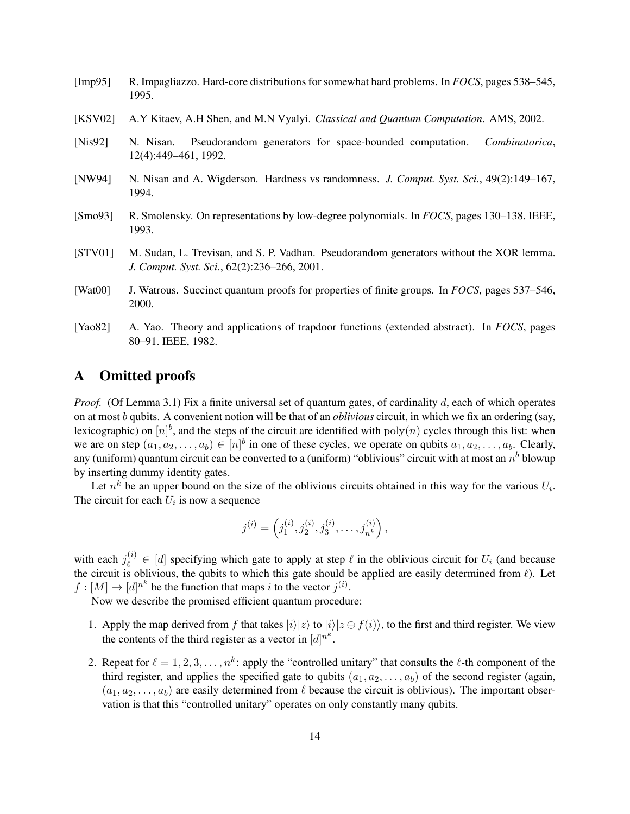- [Imp95] R. Impagliazzo. Hard-core distributions for somewhat hard problems. In *FOCS*, pages 538–545, 1995.
- [KSV02] A.Y Kitaev, A.H Shen, and M.N Vyalyi. *Classical and Quantum Computation*. AMS, 2002.
- [Nis92] N. Nisan. Pseudorandom generators for space-bounded computation. *Combinatorica*, 12(4):449–461, 1992.
- [NW94] N. Nisan and A. Wigderson. Hardness vs randomness. *J. Comput. Syst. Sci.*, 49(2):149–167, 1994.
- [Smo93] R. Smolensky. On representations by low-degree polynomials. In *FOCS*, pages 130–138. IEEE, 1993.
- [STV01] M. Sudan, L. Trevisan, and S. P. Vadhan. Pseudorandom generators without the XOR lemma. *J. Comput. Syst. Sci.*, 62(2):236–266, 2001.
- [Wat00] J. Watrous. Succinct quantum proofs for properties of finite groups. In *FOCS*, pages 537–546, 2000.
- [Yao82] A. Yao. Theory and applications of trapdoor functions (extended abstract). In *FOCS*, pages 80–91. IEEE, 1982.

### A Omitted proofs

*Proof.* (Of Lemma 3.1) Fix a finite universal set of quantum gates, of cardinality *d*, each of which operates on at most *b* qubits. A convenient notion will be that of an *oblivious* circuit, in which we fix an ordering (say, lexicographic) on  $[n]^b$ , and the steps of the circuit are identified with  $poly(n)$  cycles through this list: when we are on step  $(a_1, a_2, \ldots, a_b) \in [n]^b$  in one of these cycles, we operate on qubits  $a_1, a_2, \ldots, a_b$ . Clearly, any (uniform) quantum circuit can be converted to a (uniform) "oblivious" circuit with at most an  $n^b$  blowup by inserting dummy identity gates.

Let  $n^k$  be an upper bound on the size of the oblivious circuits obtained in this way for the various  $U_i$ . The circuit for each  $U_i$  is now a sequence

$$
j^{(i)} = \left(j_1^{(i)}, j_2^{(i)}, j_3^{(i)}, \ldots, j_{n^k}^{(i)}\right),
$$

with each  $j_{\ell}^{(i)} \in [d]$  specifying which gate to apply at step  $\ell$  in the oblivious circuit for  $U_i$  (and because the circuit is oblivious, the qubits to which this gate should be applied are easily determined from *ℓ*). Let  $f : [M] \to [d]^{n^k}$  be the function that maps *i* to the vector  $j^{(i)}$ .

Now we describe the promised efficient quantum procedure:

- 1. Apply the map derived from *f* that takes  $|i\rangle|z\rangle$  to  $|i\rangle|z \oplus f(i)\rangle$ , to the first and third register. We view the contents of the third register as a vector in  $[d]^{n^k}$ .
- 2. Repeat for  $\ell = 1, 2, 3, \ldots, n^k$ : apply the "controlled unitary" that consults the  $\ell$ -th component of the third register, and applies the specified gate to qubits  $(a_1, a_2, \ldots, a_b)$  of the second register (again,  $(a_1, a_2, \ldots, a_b)$  are easily determined from  $\ell$  because the circuit is oblivious). The important observation is that this "controlled unitary" operates on only constantly many qubits.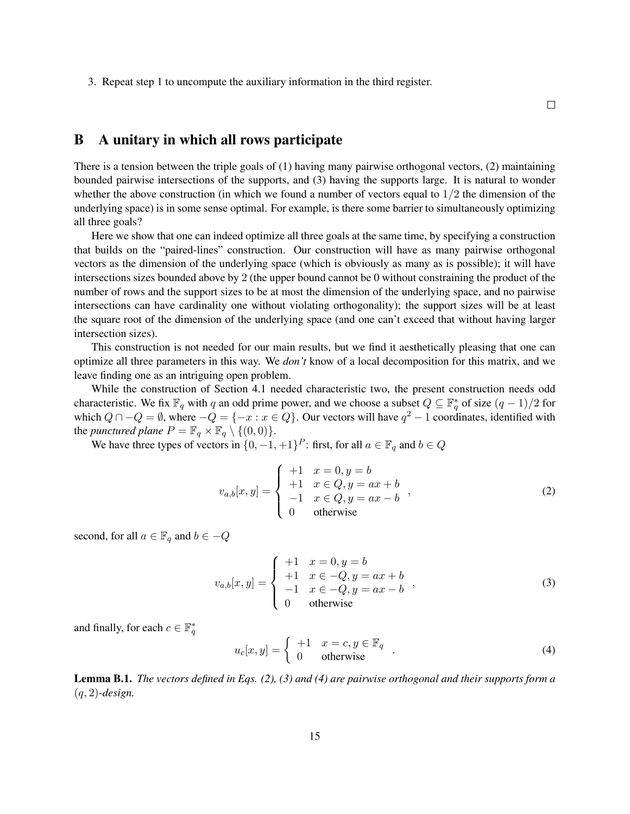3. Repeat step 1 to uncompute the auxiliary information in the third register.

 $\Box$ 

# B A unitary in which all rows participate

There is a tension between the triple goals of (1) having many pairwise orthogonal vectors, (2) maintaining bounded pairwise intersections of the supports, and (3) having the supports large. It is natural to wonder whether the above construction (in which we found a number of vectors equal to 1*/*2 the dimension of the underlying space) is in some sense optimal. For example, is there some barrier to simultaneously optimizing all three goals?

Here we show that one can indeed optimize all three goals at the same time, by specifying a construction that builds on the "paired-lines" construction. Our construction will have as many pairwise orthogonal vectors as the dimension of the underlying space (which is obviously as many as is possible); it will have intersections sizes bounded above by 2 (the upper bound cannot be 0 without constraining the product of the number of rows and the support sizes to be at most the dimension of the underlying space, and no pairwise intersections can have cardinality one without violating orthogonality); the support sizes will be at least the square root of the dimension of the underlying space (and one can't exceed that without having larger intersection sizes).

This construction is not needed for our main results, but we find it aesthetically pleasing that one can optimize all three parameters in this way. We *don't* know of a local decomposition for this matrix, and we leave finding one as an intriguing open problem.

While the construction of Section 4.1 needed characteristic two, the present construction needs odd characteristic. We fix  $\mathbb{F}_q$  with *q* an odd prime power, and we choose a subset  $Q \subseteq \mathbb{F}_q^*$  of size  $(q-1)/2$  for which  $Q \cap -Q = ∅$ , where  $-Q = \{-x : x \in Q\}$ . Our vectors will have  $q^2 - 1$  coordinates, identified with the *punctured plane*  $P = \mathbb{F}_q \times \mathbb{F}_q \setminus \{(0,0)\}.$ 

We have three types of vectors in  $\{0, -1, +1\}^P$ : first, for all  $a \in \mathbb{F}_q$  and  $b \in Q$ 

$$
v_{a,b}[x,y] = \begin{cases} +1 & x = 0, y = b \\ +1 & x \in Q, y = ax + b \\ -1 & x \in Q, y = ax - b \\ 0 & \text{otherwise} \end{cases}
$$
 (2)

second, for all  $a \in \mathbb{F}_q$  and  $b \in -Q$ 

$$
v_{a,b}[x,y] = \begin{cases} +1 & x = 0, y = b \\ +1 & x \in -Q, y = ax + b \\ -1 & x \in -Q, y = ax - b \\ 0 & \text{otherwise} \end{cases}
$$
 (3)

and finally, for each  $c \in \mathbb{F}_q^*$ 

$$
u_c[x, y] = \begin{cases} +1 & x = c, y \in \mathbb{F}_q \\ 0 & \text{otherwise} \end{cases} . \tag{4}
$$

Lemma B.1. *The vectors defined in Eqs. (2), (3) and (4) are pairwise orthogonal and their supports form a* (*q,* 2)*-design.*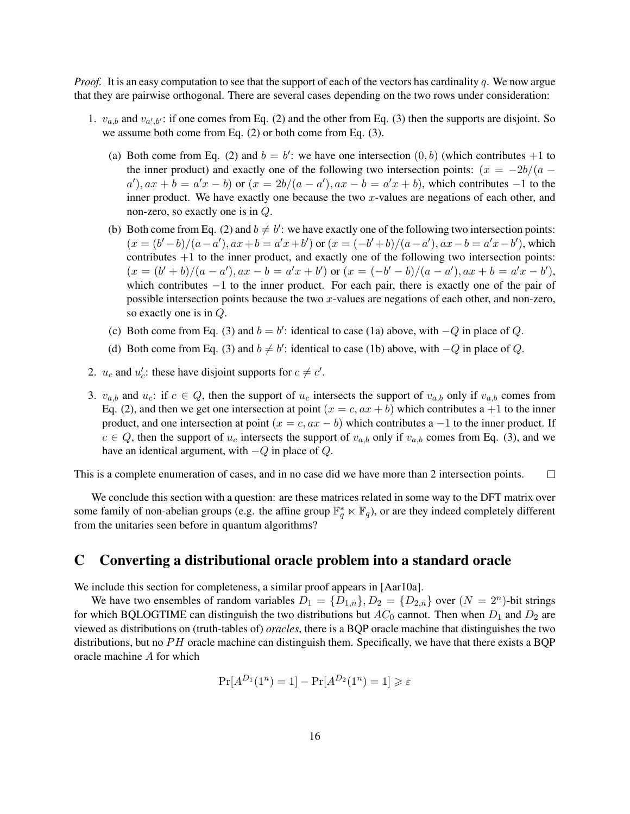*Proof.* It is an easy computation to see that the support of each of the vectors has cardinality *q*. We now argue that they are pairwise orthogonal. There are several cases depending on the two rows under consideration:

- 1.  $v_{a,b}$  and  $v_{a',b'}$ : if one comes from Eq. (2) and the other from Eq. (3) then the supports are disjoint. So we assume both come from Eq. (2) or both come from Eq. (3).
	- (a) Both come from Eq. (2) and  $b = b'$ : we have one intersection  $(0, b)$  (which contributes  $+1$  to the inner product) and exactly one of the following two intersection points:  $(x = -2b/(a$  $a'$ ,  $ax + b = a'x - b$  or  $(x = 2b/(a - a'), ax - b = a'x + b)$ , which contributes -1 to the inner product. We have exactly one because the two *x*-values are negations of each other, and non-zero, so exactly one is in *Q*.
	- (b) Both come from Eq. (2) and  $b \neq b'$ : we have exactly one of the following two intersection points:  $(x = (b'-b)/(a-a'), ax + b = a'x+b')$  or  $(x = (-b'+b)/(a-a'), ax - b = a'x-b')$ , which contributes  $+1$  to the inner product, and exactly one of the following two intersection points:  $(x = (b'+b)/(a-a'), ax-b = a'x + b')$  or  $(x = (-b'-b)/(a-a'), ax+b = a'x - b'),$ which contributes *−*1 to the inner product. For each pair, there is exactly one of the pair of possible intersection points because the two *x*-values are negations of each other, and non-zero, so exactly one is in *Q*.
	- (c) Both come from Eq. (3) and  $b = b'$ : identical to case (1a) above, with  $-Q$  in place of *Q*.
	- (d) Both come from Eq. (3) and  $b \neq b'$ : identical to case (1b) above, with  $-Q$  in place of *Q*.
- 2. *u<sub>c</sub>* and *u*<sub>c</sub><sup>2</sup>: these have disjoint supports for  $c \neq c'$ .
- 3.  $v_{a,b}$  and  $u_c$ : if  $c \in Q$ , then the support of  $u_c$  intersects the support of  $v_{a,b}$  only if  $v_{a,b}$  comes from Eq. (2), and then we get one intersection at point  $(x = c, ax + b)$  which contributes a +1 to the inner product, and one intersection at point  $(x = c, ax - b)$  which contributes a  $-1$  to the inner product. If  $c \in Q$ , then the support of  $u_c$  intersects the support of  $v_{a,b}$  only if  $v_{a,b}$  comes from Eq. (3), and we have an identical argument, with *−Q* in place of *Q*.

This is a complete enumeration of cases, and in no case did we have more than 2 intersection points.  $\Box$ 

We conclude this section with a question: are these matrices related in some way to the DFT matrix over some family of non-abelian groups (e.g. the affine group  $\mathbb{F}_q^* \ltimes \mathbb{F}_q$ ), or are they indeed completely different from the unitaries seen before in quantum algorithms?

### C Converting a distributional oracle problem into a standard oracle

We include this section for completeness, a similar proof appears in [Aar10a].

We have two ensembles of random variables  $D_1 = \{D_{1,n}\}, D_2 = \{D_{2,n}\}$  over  $(N = 2^n)$ -bit strings for which BQLOGTIME can distinguish the two distributions but  $AC_0$  cannot. Then when  $D_1$  and  $D_2$  are viewed as distributions on (truth-tables of) *oracles*, there is a BQP oracle machine that distinguishes the two distributions, but no *PH* oracle machine can distinguish them. Specifically, we have that there exists a BQP oracle machine *A* for which

$$
\Pr[A^{D_1}(1^n) = 1] - \Pr[A^{D_2}(1^n) = 1] \geq \varepsilon
$$